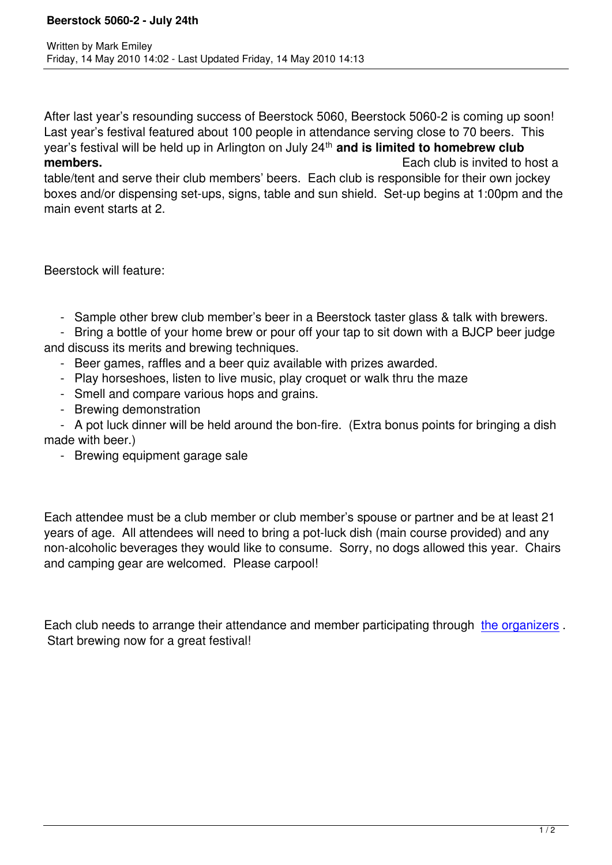After last year's resounding success of Beerstock 5060, Beerstock 5060-2 is coming up soon! Last year's festival featured about 100 people in attendance serving close to 70 beers. This year's festival will be held up in Arlington on July 24<sup>th</sup> and is limited to homebrew club **members. Each club is invited to host a Each club** is invited to host a

table/tent and serve their club members' beers. Each club is responsible for their own jockey boxes and/or dispensing set-ups, signs, table and sun shield. Set-up begins at 1:00pm and the main event starts at 2.

Beerstock will feature:

- Sample other brew club member's beer in a Beerstock taster glass & talk with brewers.

 - Bring a bottle of your home brew or pour off your tap to sit down with a BJCP beer judge and discuss its merits and brewing techniques.

- Beer games, raffles and a beer quiz available with prizes awarded.
- Play horseshoes, listen to live music, play croquet or walk thru the maze
- Smell and compare various hops and grains.
- Brewing demonstration

 - A pot luck dinner will be held around the bon-fire. (Extra bonus points for bringing a dish made with beer.)

- Brewing equipment garage sale

Each attendee must be a club member or club member's spouse or partner and be at least 21 years of age. All attendees will need to bring a pot-luck dish (main course provided) and any non-alcoholic beverages they would like to consume. Sorry, no dogs allowed this year. Chairs and camping gear are welcomed. Please carpool!

Each club needs to arrange their attendance and member participating through the organizers . Start brewing now for a great festival!